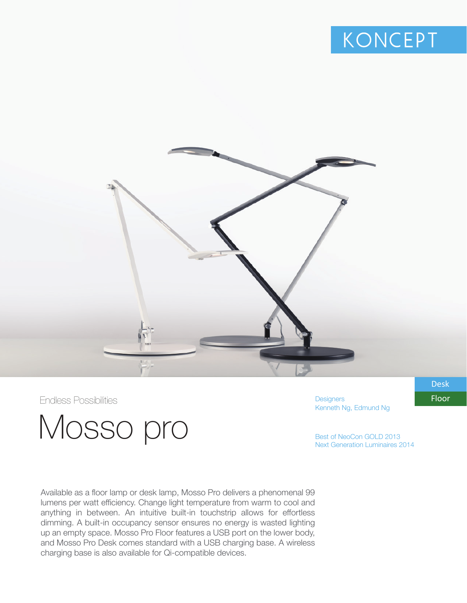



Mosso pro

**Designers** Kenneth Ng, Edmund Ng Endless Possibilities **Floor** 

Best of NeoCon GOLD 2013 Next Generation Luminaires 2014

Available as a floor lamp or desk lamp, Mosso Pro delivers a phenomenal 99 lumens per watt efficiency. Change light temperature from warm to cool and anything in between. An intuitive built-in touchstrip allows for effortless dimming. A built-in occupancy sensor ensures no energy is wasted lighting up an empty space. Mosso Pro Floor features a USB port on the lower body, and Mosso Pro Desk comes standard with a USB charging base. A wireless charging base is also available for Qi-compatible devices.